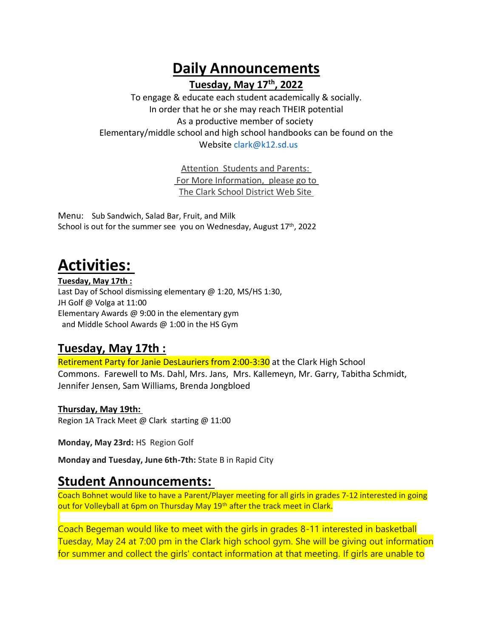**Daily Announcements Tuesday, May 17th, 2022**

To engage & educate each student academically & socially. In order that he or she may reach THEIR potential As a productive member of society Elementary/middle school and high school handbooks can be found on the Website [clark@k12.sd.us](mailto:clark@k12.sd.us)

> Attention Students and Parents: For More Information, please go to The Clark School District Web Site

Menu: Sub Sandwich, Salad Bar, Fruit, and Milk School is out for the summer see you on Wednesday, August  $17<sup>th</sup>$ , 2022

# **Activities:**

**Tuesday, May 17th :** Last Day of School dismissing elementary @ 1:20, MS/HS 1:30, JH Golf @ Volga at 11:00 Elementary Awards @ 9:00 in the elementary gym and Middle School Awards @ 1:00 in the HS Gym

## **Tuesday, May 17th :**

Retirement Party for Janie DesLauriers from 2:00-3:30 at the Clark High School Commons. Farewell to Ms. Dahl, Mrs. Jans, Mrs. Kallemeyn, Mr. Garry, Tabitha Schmidt, Jennifer Jensen, Sam Williams, Brenda Jongbloed

#### **Thursday, May 19th:**

Region 1A Track Meet @ Clark starting @ 11:00

**Monday, May 23rd:** HS Region Golf

**Monday and Tuesday, June 6th-7th:** State B in Rapid City

## **Student Announcements:**

Coach Bohnet would like to have a Parent/Player meeting for all girls in grades 7-12 interested in going out for Volleyball at 6pm on Thursday May 19<sup>th</sup> after the track meet in Clark.

Coach Begeman would like to meet with the girls in grades 8-11 interested in basketball Tuesday, May 24 at 7:00 pm in the Clark high school gym. She will be giving out information for summer and collect the girls' contact information at that meeting. If girls are unable to